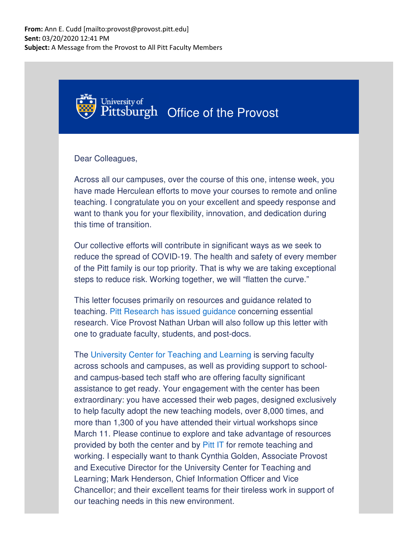

Dear Colleagues,

Across all our campuses, over the course of this one, intense week, you have made Herculean efforts to move your courses to remote and online teaching. I congratulate you on your excellent and speedy response and want to thank you for your flexibility, innovation, and dedication during this time of transition.

Our collective efforts will contribute in significant ways as we seek to reduce the spread of COVID-19. The health and safety of every member of the Pitt family is our top priority. That is why we are taking exceptional steps to reduce risk. Working together, we will "flatten the curve."

This letter focuses primarily on resources and guidance related to teaching. Pitt Research has issued guidance concerning essential research. Vice Provost Nathan Urban will also follow up this letter with one to graduate faculty, students, and post-docs.

The University Center for Teaching and Learning is serving faculty across schools and campuses, as well as providing support to schooland campus-based tech staff who are offering faculty significant assistance to get ready. Your engagement with the center has been extraordinary: you have accessed their web pages, designed exclusively to help faculty adopt the new teaching models, over 8,000 times, and more than 1,300 of you have attended their virtual workshops since March 11. Please continue to explore and take advantage of resources provided by both the center and by Pitt IT for remote teaching and working. I especially want to thank Cynthia Golden, Associate Provost and Executive Director for the University Center for Teaching and Learning; Mark Henderson, Chief Information Officer and Vice Chancellor; and their excellent teams for their tireless work in support of our teaching needs in this new environment.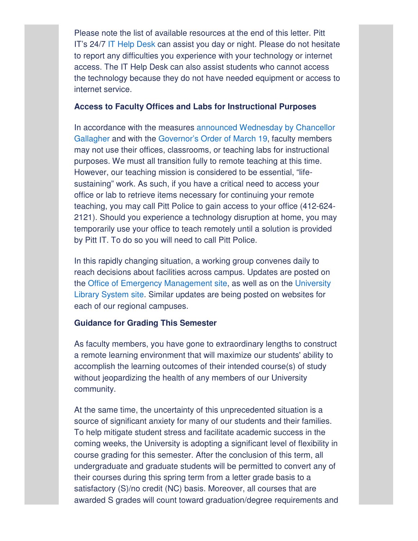Please note the list of available resources at the end of this letter. Pitt IT's 24/7 IT Help Desk can assist you day or night. Please do not hesitate to report any difficulties you experience with your technology or internet access. The IT Help Desk can also assist students who cannot access the technology because they do not have needed equipment or access to internet service.

#### **Access to Faculty Offices and Labs for Instructional Purposes**

In accordance with the measures announced Wednesday by Chancellor Gallagher and with the Governor's Order of March 19, faculty members may not use their offices, classrooms, or teaching labs for instructional purposes. We must all transition fully to remote teaching at this time. However, our teaching mission is considered to be essential, "lifesustaining" work. As such, if you have a critical need to access your office or lab to retrieve items necessary for continuing your remote teaching, you may call Pitt Police to gain access to your office (412-624- 2121). Should you experience a technology disruption at home, you may temporarily use your office to teach remotely until a solution is provided by Pitt IT. To do so you will need to call Pitt Police.

In this rapidly changing situation, a working group convenes daily to reach decisions about facilities across campus. Updates are posted on the Office of Emergency Management site, as well as on the University Library System site. Similar updates are being posted on websites for each of our regional campuses.

## **Guidance for Grading This Semester**

As faculty members, you have gone to extraordinary lengths to construct a remote learning environment that will maximize our students' ability to accomplish the learning outcomes of their intended course(s) of study without jeopardizing the health of any members of our University community.

At the same time, the uncertainty of this unprecedented situation is a source of significant anxiety for many of our students and their families. To help mitigate student stress and facilitate academic success in the coming weeks, the University is adopting a significant level of flexibility in course grading for this semester. After the conclusion of this term, all undergraduate and graduate students will be permitted to convert any of their courses during this spring term from a letter grade basis to a satisfactory (S)/no credit (NC) basis. Moreover, all courses that are awarded S grades will count toward graduation/degree requirements and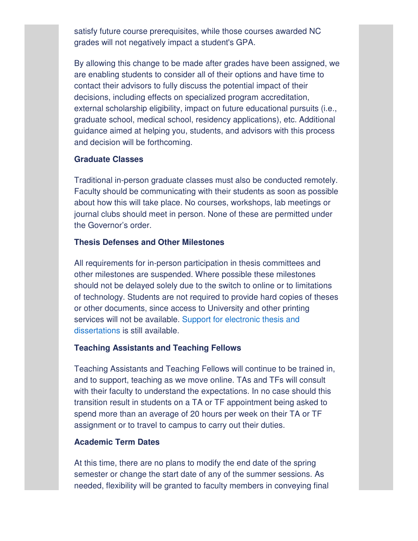satisfy future course prerequisites, while those courses awarded NC grades will not negatively impact a student's GPA.

By allowing this change to be made after grades have been assigned, we are enabling students to consider all of their options and have time to contact their advisors to fully discuss the potential impact of their decisions, including effects on specialized program accreditation, external scholarship eligibility, impact on future educational pursuits (i.e., graduate school, medical school, residency applications), etc. Additional guidance aimed at helping you, students, and advisors with this process and decision will be forthcoming.

# **Graduate Classes**

Traditional in-person graduate classes must also be conducted remotely. Faculty should be communicating with their students as soon as possible about how this will take place. No courses, workshops, lab meetings or journal clubs should meet in person. None of these are permitted under the Governor's order.

## **Thesis Defenses and Other Milestones**

All requirements for in-person participation in thesis committees and other milestones are suspended. Where possible these milestones should not be delayed solely due to the switch to online or to limitations of technology. Students are not required to provide hard copies of theses or other documents, since access to University and other printing services will not be available. Support for electronic thesis and dissertations is still available.

### **Teaching Assistants and Teaching Fellows**

Teaching Assistants and Teaching Fellows will continue to be trained in, and to support, teaching as we move online. TAs and TFs will consult with their faculty to understand the expectations. In no case should this transition result in students on a TA or TF appointment being asked to spend more than an average of 20 hours per week on their TA or TF assignment or to travel to campus to carry out their duties.

## **Academic Term Dates**

At this time, there are no plans to modify the end date of the spring semester or change the start date of any of the summer sessions. As needed, flexibility will be granted to faculty members in conveying final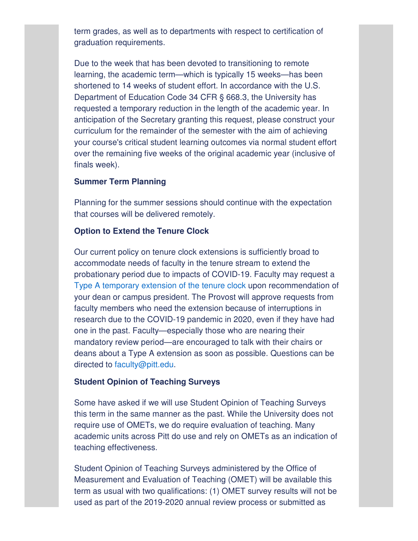term grades, as well as to departments with respect to certification of graduation requirements.

Due to the week that has been devoted to transitioning to remote learning, the academic term—which is typically 15 weeks—has been shortened to 14 weeks of student effort. In accordance with the U.S. Department of Education Code 34 CFR § 668.3, the University has requested a temporary reduction in the length of the academic year. In anticipation of the Secretary granting this request, please construct your curriculum for the remainder of the semester with the aim of achieving your course's critical student learning outcomes via normal student effort over the remaining five weeks of the original academic year (inclusive of finals week).

# **Summer Term Planning**

Planning for the summer sessions should continue with the expectation that courses will be delivered remotely.

### **Option to Extend the Tenure Clock**

Our current policy on tenure clock extensions is sufficiently broad to accommodate needs of faculty in the tenure stream to extend the probationary period due to impacts of COVID-19. Faculty may request a Type A temporary extension of the tenure clock upon recommendation of your dean or campus president. The Provost will approve requests from faculty members who need the extension because of interruptions in research due to the COVID-19 pandemic in 2020, even if they have had one in the past. Faculty—especially those who are nearing their mandatory review period—are encouraged to talk with their chairs or deans about a Type A extension as soon as possible. Questions can be directed to faculty@pitt.edu.

### **Student Opinion of Teaching Surveys**

Some have asked if we will use Student Opinion of Teaching Surveys this term in the same manner as the past. While the University does not require use of OMETs, we do require evaluation of teaching. Many academic units across Pitt do use and rely on OMETs as an indication of teaching effectiveness.

Student Opinion of Teaching Surveys administered by the Office of Measurement and Evaluation of Teaching (OMET) will be available this term as usual with two qualifications: (1) OMET survey results will not be used as part of the 2019-2020 annual review process or submitted as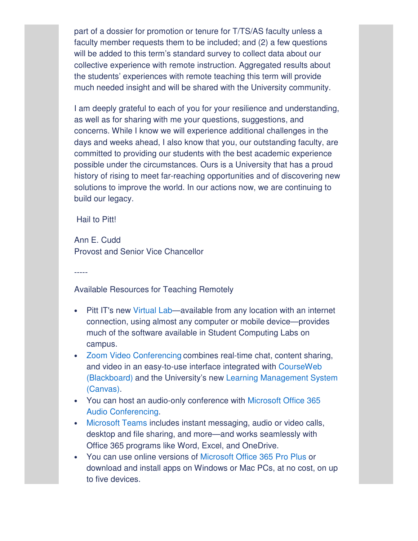part of a dossier for promotion or tenure for T/TS/AS faculty unless a faculty member requests them to be included; and (2) a few questions will be added to this term's standard survey to collect data about our collective experience with remote instruction. Aggregated results about the students' experiences with remote teaching this term will provide much needed insight and will be shared with the University community.

I am deeply grateful to each of you for your resilience and understanding, as well as for sharing with me your questions, suggestions, and concerns. While I know we will experience additional challenges in the days and weeks ahead, I also know that you, our outstanding faculty, are committed to providing our students with the best academic experience possible under the circumstances. Ours is a University that has a proud history of rising to meet far-reaching opportunities and of discovering new solutions to improve the world. In our actions now, we are continuing to build our legacy.

Hail to Pitt!

Ann E. Cudd Provost and Senior Vice Chancellor

-----

Available Resources for Teaching Remotely

- Pitt IT's new Virtual Lab—available from any location with an internet connection, using almost any computer or mobile device—provides much of the software available in Student Computing Labs on campus.
- Zoom Video Conferencing combines real-time chat, content sharing, and video in an easy-to-use interface integrated with CourseWeb (Blackboard) and the University's new Learning Management System (Canvas).
- You can host an audio-only conference with Microsoft Office 365 Audio Conferencing.
- Microsoft Teams includes instant messaging, audio or video calls, desktop and file sharing, and more—and works seamlessly with Office 365 programs like Word, Excel, and OneDrive.
- You can use online versions of Microsoft Office 365 Pro Plus or download and install apps on Windows or Mac PCs, at no cost, on up to five devices.